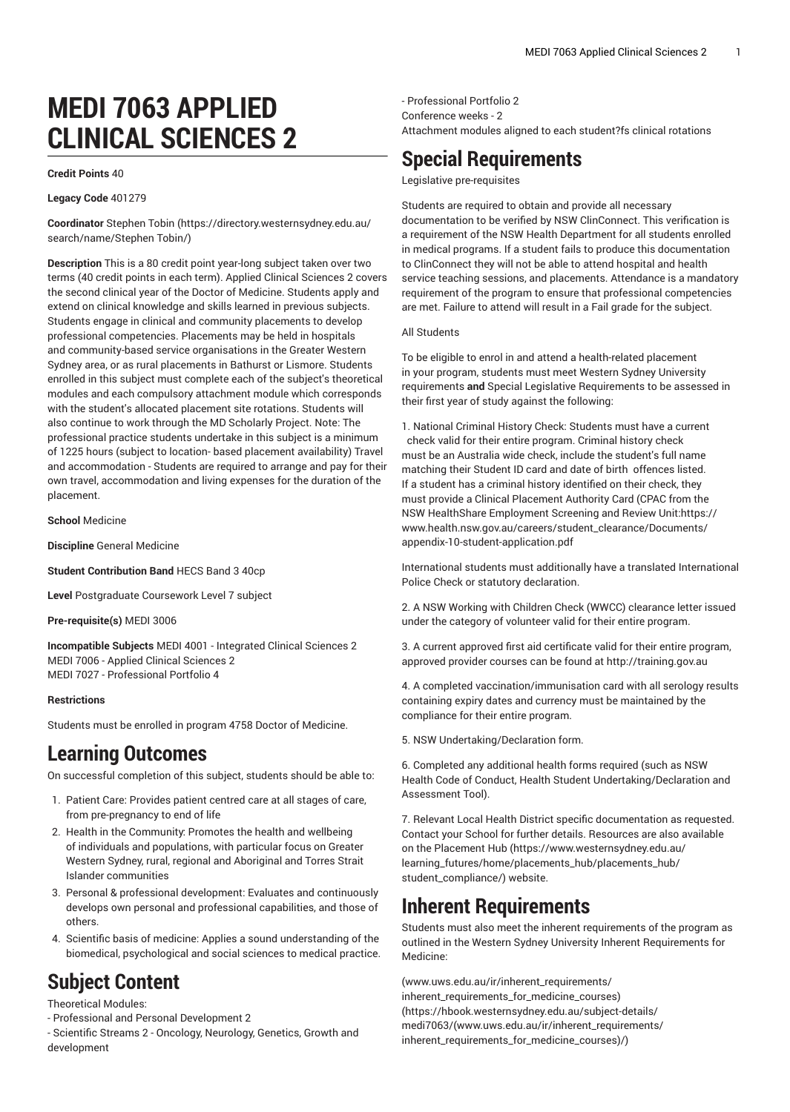# **MEDI 7063 APPLIED CLINICAL SCIENCES 2**

#### **Credit Points** 40

**Legacy Code** 401279

**Coordinator** [Stephen](https://directory.westernsydney.edu.au/search/name/Stephen Tobin/) Tobin ([https://directory.westernsydney.edu.au/](https://directory.westernsydney.edu.au/search/name/Stephen Tobin/) [search/name/Stephen](https://directory.westernsydney.edu.au/search/name/Stephen Tobin/) Tobin/)

**Description** This is a 80 credit point year-long subject taken over two terms (40 credit points in each term). Applied Clinical Sciences 2 covers the second clinical year of the Doctor of Medicine. Students apply and extend on clinical knowledge and skills learned in previous subjects. Students engage in clinical and community placements to develop professional competencies. Placements may be held in hospitals and community-based service organisations in the Greater Western Sydney area, or as rural placements in Bathurst or Lismore. Students enrolled in this subject must complete each of the subject's theoretical modules and each compulsory attachment module which corresponds with the student's allocated placement site rotations. Students will also continue to work through the MD Scholarly Project. Note: The professional practice students undertake in this subject is a minimum of 1225 hours (subject to location- based placement availability) Travel and accommodation - Students are required to arrange and pay for their own travel, accommodation and living expenses for the duration of the placement.

**School** Medicine

**Discipline** General Medicine

**Student Contribution Band** HECS Band 3 40cp

**Level** Postgraduate Coursework Level 7 subject

**Pre-requisite(s)** [MEDI 3006](/search/?P=MEDI%203006)

**Incompatible Subjects** [MEDI 4001](/search/?P=MEDI%204001) - Integrated Clinical Sciences 2 MEDI 7006 - Applied Clinical Sciences 2 [MEDI 7027](/search/?P=MEDI%207027) - Professional Portfolio 4

#### **Restrictions**

Students must be enrolled in program 4758 Doctor of Medicine.

## **Learning Outcomes**

On successful completion of this subject, students should be able to:

- 1. Patient Care: Provides patient centred care at all stages of care, from pre-pregnancy to end of life
- 2. Health in the Community: Promotes the health and wellbeing of individuals and populations, with particular focus on Greater Western Sydney, rural, regional and Aboriginal and Torres Strait Islander communities
- 3. Personal & professional development: Evaluates and continuously develops own personal and professional capabilities, and those of others.
- 4. Scientific basis of medicine: Applies a sound understanding of the biomedical, psychological and social sciences to medical practice.

# **Subject Content**

Theoretical Modules:

- Professional and Personal Development 2

- Scientific Streams 2 - Oncology, Neurology, Genetics, Growth and development

- Professional Portfolio 2 Conference weeks - 2 Attachment modules aligned to each student?fs clinical rotations

# **Special Requirements**

Legislative pre-requisites

Students are required to obtain and provide all necessary documentation to be verified by NSW ClinConnect. This verification is a requirement of the NSW Health Department for all students enrolled in medical programs. If a student fails to produce this documentation to ClinConnect they will not be able to attend hospital and health service teaching sessions, and placements. Attendance is a mandatory requirement of the program to ensure that professional competencies are met. Failure to attend will result in a Fail grade for the subject.

#### All Students

To be eligible to enrol in and attend a health-related placement in your program, students must meet Western Sydney University requirements **and** Special Legislative Requirements to be assessed in their first year of study against the following:

1. National Criminal History Check: Students must have a current check valid for their entire program. Criminal history check must be an Australia wide check, include the student's full name matching their Student ID card and date of birth offences listed. If a student has a criminal history identified on their check, they must provide a Clinical Placement Authority Card (CPAC from the NSW HealthShare Employment Screening and Review Unit[:https://](https://www.health.nsw.gov.au/careers/student_clearance/Documents/appendix-10-student-application.pdf) [www.health.nsw.gov.au/careers/student\\_clearance/Documents/](https://www.health.nsw.gov.au/careers/student_clearance/Documents/appendix-10-student-application.pdf) [appendix-10-student-application.pdf](https://www.health.nsw.gov.au/careers/student_clearance/Documents/appendix-10-student-application.pdf)

International students must additionally have a translated International Police Check or statutory declaration.

2. A NSW Working with Children Check (WWCC) clearance letter issued under the category of volunteer valid for their entire program.

3. A current approved first aid certificate valid for their entire program, approved provider courses can be found at <http://training.gov.au>

4. A completed vaccination/immunisation card with all serology results containing expiry dates and currency must be maintained by the compliance for their entire program.

5. NSW Undertaking/Declaration form.

6. Completed any additional health forms required (such as NSW Health Code of Conduct, Health Student Undertaking/Declaration and Assessment Tool).

7. Relevant Local Health District specific documentation as requested. Contact your School for further details. Resources are also available on the [Placement Hub](https://www.westernsydney.edu.au/learning_futures/home/placements_hub/placements_hub/student_compliance/) ([https://www.westernsydney.edu.au/](https://www.westernsydney.edu.au/learning_futures/home/placements_hub/placements_hub/student_compliance/) [learning\\_futures/home/placements\\_hub/placements\\_hub/](https://www.westernsydney.edu.au/learning_futures/home/placements_hub/placements_hub/student_compliance/) [student\\_compliance/](https://www.westernsydney.edu.au/learning_futures/home/placements_hub/placements_hub/student_compliance/)) website.

### **Inherent Requirements**

Students must also meet the inherent requirements of the program as outlined in the Western Sydney University Inherent Requirements for Medicine:

[\(www.uws.edu.au/ir/inherent\\_requirements/](https://hbook.westernsydney.edu.au/subject-details/medi7063/(www.uws.edu.au/ir/inherent_requirements/inherent_requirements_for_medicine_courses)/) [inherent\\_requirements\\_for\\_medicine\\_courses\)](https://hbook.westernsydney.edu.au/subject-details/medi7063/(www.uws.edu.au/ir/inherent_requirements/inherent_requirements_for_medicine_courses)/) ([https://hbook.westernsydney.edu.au/subject-details/](https://hbook.westernsydney.edu.au/subject-details/medi7063/(www.uws.edu.au/ir/inherent_requirements/inherent_requirements_for_medicine_courses)/) [medi7063/\(www.uws.edu.au/ir/inherent\\_requirements/](https://hbook.westernsydney.edu.au/subject-details/medi7063/(www.uws.edu.au/ir/inherent_requirements/inherent_requirements_for_medicine_courses)/) [inherent\\_requirements\\_for\\_medicine\\_courses\)/](https://hbook.westernsydney.edu.au/subject-details/medi7063/(www.uws.edu.au/ir/inherent_requirements/inherent_requirements_for_medicine_courses)/))